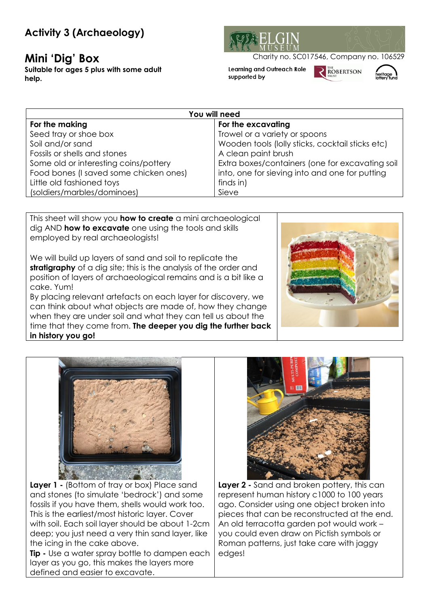# **Activity 3 (Archaeology)**

## **Mini 'Dig' Box**

**Suitable for ages 5 plus with some adult help.**

Charity no. SC017546, Company no. 106529

**Learning and Outreach Role** supported by

ROBERTSON



| You will need                          |                                                  |
|----------------------------------------|--------------------------------------------------|
| For the making                         | For the excavating                               |
| Seed tray or shoe box                  | Trowel or a variety or spoons                    |
| Soil and/or sand                       | Wooden tools (lolly sticks, cocktail sticks etc) |
| Fossils or shells and stones           | A clean paint brush                              |
| Some old or interesting coins/pottery  | Extra boxes/containers (one for excavating soil  |
| Food bones (I saved some chicken ones) | into, one for sieving into and one for putting   |
| Little old fashioned toys              | finds in)                                        |
| (soldiers/marbles/dominoes)            | Sieve                                            |

This sheet will show you **how to create** a mini archaeological dig AND **how to excavate** one using the tools and skills employed by real archaeologists!

We will build up layers of sand and soil to replicate the **stratigraphy** of a dig site; this is the analysis of the order and position of layers of archaeological remains and is a bit like a cake. Yum!

By placing relevant artefacts on each layer for discovery, we can think about what objects are made of, how they change when they are under soil and what they can tell us about the time that they come from. **The deeper you dig the further back in history you go!**





**Layer 1 -** (Bottom of tray or box) Place sand and stones (to simulate 'bedrock') and some fossils if you have them, shells would work too. This is the earliest/most historic layer. Cover with soil. Each soil layer should be about 1-2cm deep; you just need a very thin sand layer, like the icing in the cake above.

**Tip -** Use a water spray bottle to dampen each layer as you go, this makes the layers more defined and easier to excavate.



**Layer 2 -** Sand and broken pottery, this can represent human history c1000 to 100 years ago. Consider using one object broken into pieces that can be reconstructed at the end. An old terracotta garden pot would work – you could even draw on Pictish symbols or Roman patterns, just take care with jaggy edges!